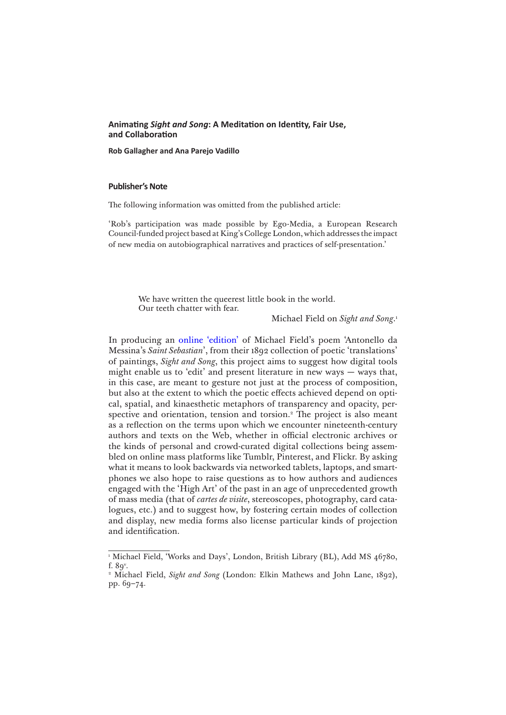# **Animating** *Sight and Song***: A Meditation on Identity, Fair Use, and Collaboration**

**Rob Gallagher and Ana Parejo Vadillo** 

## **Publisher's Note**

The following information was omitted from the published article:

'Rob's participation was made possible by Ego-Media, a European Research Council-funded project based at King's College London, which addresses the impact of new media on autobiographical narratives and practices of self-presentation.'

> We have written the queerest little book in the world. Our teeth chatter with fear.

> > Michael Field on *Sight and Song*. 1

In producing an [online 'edition'](http://newhive.com/gealga/saint-sebastian-title?q=%40gealga%20%23saintsebastian) of Michael Field's poem 'Antonello da Messina's *Saint Sebastian*', from their 1892 collection of poetic 'translations' of paintings, *Sight and Song*, this project aims to suggest how digital tools might enable us to 'edit' and present literature in new ways — ways that, in this case, are meant to gesture not just at the process of composition, but also at the extent to which the poetic effects achieved depend on optical, spatial, and kinaesthetic metaphors of transparency and opacity, perspective and orientation, tension and torsion.<sup>2</sup> The project is also meant as a reflection on the terms upon which we encounter nineteenth-century authors and texts on the Web, whether in official electronic archives or the kinds of personal and crowd-curated digital collections being assembled on online mass platforms like Tumblr, Pinterest, and Flickr. By asking what it means to look backwards via networked tablets, laptops, and smartphones we also hope to raise questions as to how authors and audiences engaged with the 'High Art' of the past in an age of unprecedented growth of mass media (that of *cartes de visite*, stereoscopes, photography, card catalogues, etc.) and to suggest how, by fostering certain modes of collection and display, new media forms also license particular kinds of projection and identification.

<sup>1</sup> Michael Field, 'Works and Days', London, British Library (BL), Add MS 46780, f.  $89^{\circ}$ .

<sup>2</sup> Michael Field, *Sight and Song* (London: Elkin Mathews and John Lane, 1892), pp. 69–74.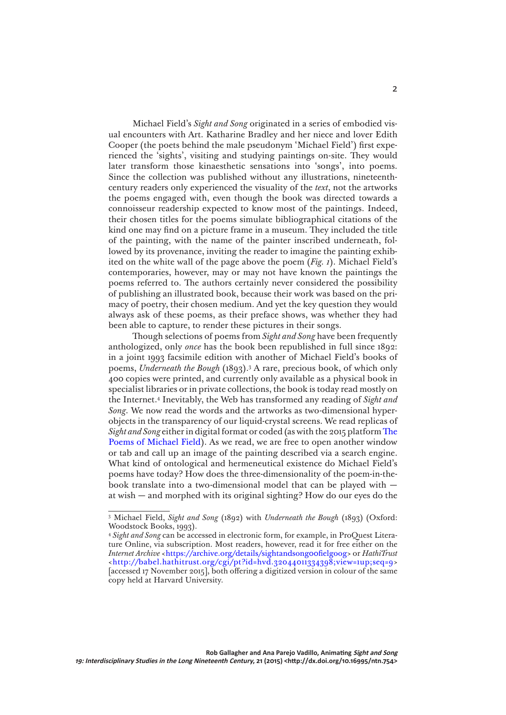Michael Field's *Sight and Song* originated in a series of embodied visual encounters with Art. Katharine Bradley and her niece and lover Edith Cooper (the poets behind the male pseudonym 'Michael Field') first experienced the 'sights', visiting and studying paintings on-site. They would later transform those kinaesthetic sensations into 'songs', into poems. Since the collection was published without any illustrations, nineteenthcentury readers only experienced the visuality of the *text*, not the artworks the poems engaged with, even though the book was directed towards a connoisseur readership expected to know most of the paintings. Indeed, their chosen titles for the poems simulate bibliographical citations of the kind one may find on a picture frame in a museum. They included the title of the painting, with the name of the painter inscribed underneath, followed by its provenance, inviting the reader to imagine the painting exhibited on the white wall of the page above the poem (*Fig. 1*). Michael Field's contemporaries, however, may or may not have known the paintings the poems referred to. The authors certainly never considered the possibility of publishing an illustrated book, because their work was based on the primacy of poetry, their chosen medium. And yet the key question they would always ask of these poems, as their preface shows, was whether they had been able to capture, to render these pictures in their songs.

Though selections of poems from *Sight and Song* have been frequently anthologized, only *once* has the book been republished in full since 1892: in a joint 1993 facsimile edition with another of Michael Field's books of poems, *Underneath the Bough* (1893).3 A rare, precious book, of which only 400 copies were printed, and currently only available as a physical book in specialist libraries or in private collections, the book is today read mostly on the Internet.4 Inevitably, the Web has transformed any reading of *Sight and Song*. We now read the words and the artworks as two-dimensional hyperobjects in the transparency of our liquid-crystal screens. We read replicas of *Sight and Song* either in digital format or coded (as with the 2015 platform [The](http://michaelfield.dickinson.edu)  [Poems of Michael Field](http://michaelfield.dickinson.edu)). As we read, we are free to open another window or tab and call up an image of the painting described via a search engine. What kind of ontological and hermeneutical existence do Michael Field's poems have today? How does the three-dimensionality of the poem-in-thebook translate into a two-dimensional model that can be played with at wish — and morphed with its original sighting? How do our eyes do the

<sup>3</sup> Michael Field, *Sight and Song* (1892) with *Underneath the Bough* (1893) (Oxford: Woodstock Books, 1993).

<sup>4</sup> *Sight and Song* can be accessed in electronic form, for example, in ProQuest Literature Online, via subscription. Most readers, however, read it for free either on the *Internet Archive* <<https://archive.org/details/sightandsong00fielgoog>> or *HathiTrust* <<http://babel.hathitrust.org/cgi/pt?id=hvd.32044011334398;view=1up;seq=9>> [accessed 17 November 2015], both offering a digitized version in colour of the same copy held at Harvard University.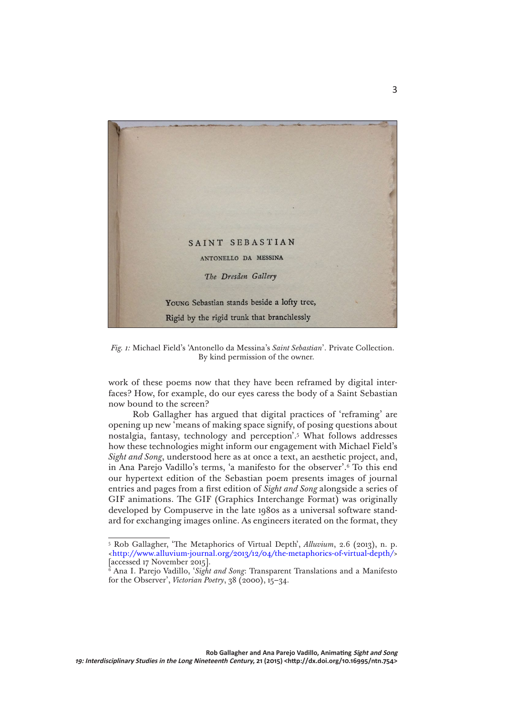

*Fig. 1:* Michael Field's 'Antonello da Messina's *Saint Sebastian*'. Private Collection. By kind permission of the owner.

work of these poems now that they have been reframed by digital interfaces? How, for example, do our eyes caress the body of a Saint Sebastian now bound to the screen?

Rob Gallagher has argued that digital practices of 'reframing' are opening up new 'means of making space signify, of posing questions about nostalgia, fantasy, technology and perception'.5 What follows addresses how these technologies might inform our engagement with Michael Field's *Sight and Song*, understood here as at once a text, an aesthetic project, and, in Ana Parejo Vadillo's terms, 'a manifesto for the observer'.6 To this end our hypertext edition of the Sebastian poem presents images of journal entries and pages from a first edition of *Sight and Song* alongside a series of GIF animations. The GIF (Graphics Interchange Format) was originally developed by Compuserve in the late 1980s as a universal software standard for exchanging images online. As engineers iterated on the format, they

<sup>5</sup> Rob Gallagher, 'The Metaphorics of Virtual Depth', *Alluvium*, 2.6 (2013), n. p. [<http://www.alluvium-journal.org/2013/12/04/the-metaphorics-of-virtual-depth/](http://www.alluvium-journal.org/2013/12/04/the-metaphorics-of-virtual-depth/)> [accessed 17 November 2015].

<sup>6</sup> Ana I. Parejo Vadillo, '*Sight and Song*: Transparent Translations and a Manifesto for the Observer', *Victorian Poetry*, 38 (2000), 15–34.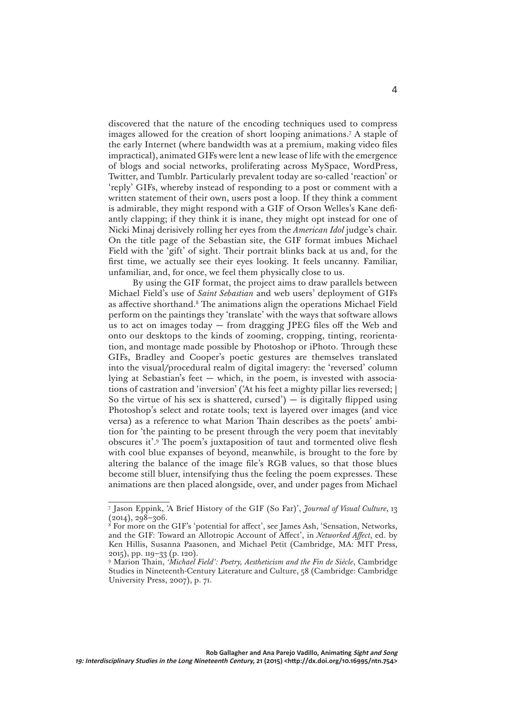discovered that the nature of the encoding techniques used to compress images allowed for the creation of short looping animations.7 A staple of the early Internet (where bandwidth was at a premium, making video files impractical), animated GIFs were lent a new lease of life with the emergence of blogs and social networks, proliferating across MySpace, WordPress, Twitter, and Tumblr. Particularly prevalent today are so-called 'reaction' or 'reply' GIFs, whereby instead of responding to a post or comment with a written statement of their own, users post a loop. If they think a comment is admirable, they might respond with a GIF of Orson Welles's Kane defiantly clapping; if they think it is inane, they might opt instead for one of Nicki Minaj derisively rolling her eyes from the *American Idol* judge's chair. On the title page of the Sebastian site, the GIF format imbues Michael Field with the 'gift' of sight. Their portrait blinks back at us and, for the first time, we actually see their eyes looking. It feels uncanny. Familiar, unfamiliar, and, for once, we feel them physically close to us.

By using the GIF format, the project aims to draw parallels between Michael Field's use of *Saint Sebastian* and web users' deployment of GIFs as affective shorthand.<sup>8</sup> The animations align the operations Michael Field perform on the paintings they 'translate' with the ways that software allows us to act on images today — from dragging JPEG files off the Web and onto our desktops to the kinds of zooming, cropping, tinting, reorientation, and montage made possible by Photoshop or iPhoto. Through these GIFs, Bradley and Cooper's poetic gestures are themselves translated into the visual/procedural realm of digital imagery: the 'reversed' column lying at Sebastian's feet — which, in the poem, is invested with associations of castration and 'inversion' ('At his feet a mighty pillar lies reversed; | So the virtue of his sex is shattered, cursed')  $-$  is digitally flipped using Photoshop's select and rotate tools; text is layered over images (and vice versa) as a reference to what Marion Thain describes as the poets' ambition for 'the painting to be present through the very poem that inevitably obscures it'.9 The poem's juxtaposition of taut and tormented olive flesh with cool blue expanses of beyond, meanwhile, is brought to the fore by altering the balance of the image file's RGB values, so that those blues become still bluer, intensifying thus the feeling the poem expresses. These animations are then placed alongside, over, and under pages from Michael

<sup>7</sup> Jason Eppink, 'A Brief History of the GIF (So Far)', *Journal of Visual Culture*, 13  $(2014), 298 - 306.$ 

<sup>8</sup> For more on the GIF's 'potential for affect', see James Ash, 'Sensation, Networks, and the GIF: Toward an Allotropic Account of Affect', in *Networked Affect*, ed. by Ken Hillis, Susanna Paasonen, and Michael Petit (Cambridge, MA: MIT Press, 2015), pp. 119–33 (p. 120).

<sup>9</sup> Marion Thain, *'Michael Field': Poetry, Aestheticism and the Fin de Siècle*, Cambridge Studies in Nineteenth-Century Literature and Culture, 58 (Cambridge: Cambridge University Press, 2007), p. 71.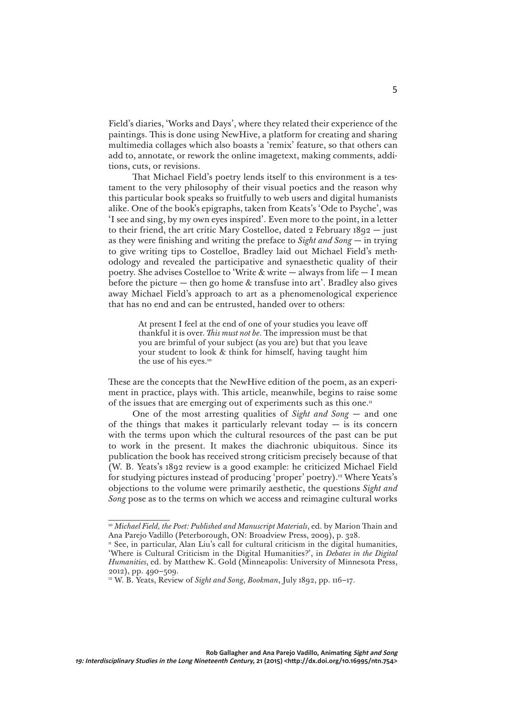Field's diaries, 'Works and Days', where they related their experience of the paintings. This is done using NewHive, a platform for creating and sharing multimedia collages which also boasts a 'remix' feature, so that others can add to, annotate, or rework the online imagetext, making comments, additions, cuts, or revisions.

That Michael Field's poetry lends itself to this environment is a testament to the very philosophy of their visual poetics and the reason why this particular book speaks so fruitfully to web users and digital humanists alike. One of the book's epigraphs, taken from Keats's 'Ode to Psyche', was 'I see and sing, by my own eyes inspired'. Even more to the point, in a letter to their friend, the art critic Mary Costelloe, dated 2 February 1892 — just as they were finishing and writing the preface to *Sight and Song —* in trying to give writing tips to Costelloe, Bradley laid out Michael Field's methodology and revealed the participative and synaesthetic quality of their poetry. She advises Costelloe to 'Write & write — always from life — I mean before the picture  $-$  then go home  $\&$  transfuse into art'. Bradley also gives away Michael Field's approach to art as a phenomenological experience that has no end and can be entrusted, handed over to others:

> At present I feel at the end of one of your studies you leave off thankful it is over. *This must not be*. The impression must be that you are brimful of your subject (as you are) but that you leave your student to look & think for himself, having taught him the use of his eyes.<sup>10</sup>

These are the concepts that the NewHive edition of the poem, as an experiment in practice, plays with. This article, meanwhile, begins to raise some of the issues that are emerging out of experiments such as this one.<sup>11</sup>

One of the most arresting qualities of *Sight and Song* — and one of the things that makes it particularly relevant today  $-$  is its concern with the terms upon which the cultural resources of the past can be put to work in the present. It makes the diachronic ubiquitous. Since its publication the book has received strong criticism precisely because of that (W. B. Yeats's 1892 review is a good example: he criticized Michael Field for studying pictures instead of producing 'proper' poetry).<sup>12</sup> Where Yeats's objections to the volume were primarily aesthetic, the questions *Sight and Song* pose as to the terms on which we access and reimagine cultural works

<sup>&</sup>lt;sup>10</sup> Michael Field, the Poet: Published and Manuscript Materials, ed. by Marion Thain and Ana Parejo Vadillo (Peterborough, ON: Broadview Press, 2009), p. 328.

<sup>&</sup>lt;sup>11</sup> See, in particular, Alan Liu's call for cultural criticism in the digital humanities, 'Where is Cultural Criticism in the Digital Humanities?', in *Debates in the Digital Humanities*, ed. by Matthew K. Gold (Minneapolis: University of Minnesota Press, 2012), pp. 490–509.

<sup>12</sup> W. B. Yeats, Review of *Sight and Song*, *Bookman*, July 1892, pp. 116–17.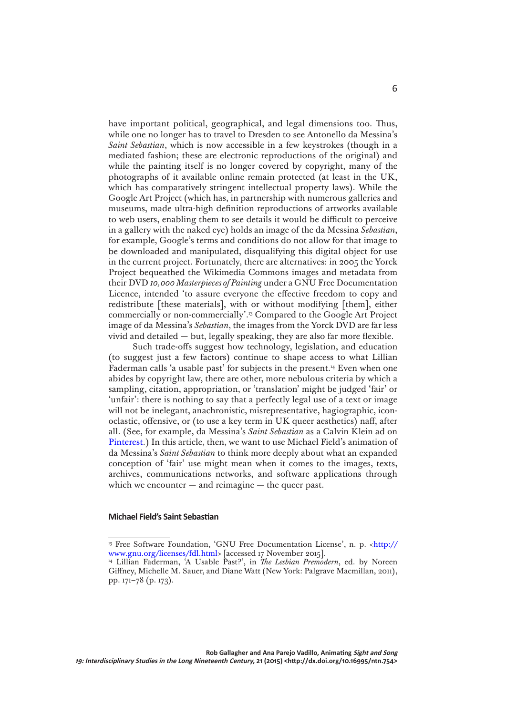have important political, geographical, and legal dimensions too. Thus, while one no longer has to travel to Dresden to see Antonello da Messina's *Saint Sebastian*, which is now accessible in a few keystrokes (though in a mediated fashion; these are electronic reproductions of the original) and while the painting itself is no longer covered by copyright, many of the photographs of it available online remain protected (at least in the UK, which has comparatively stringent intellectual property laws). While the Google Art Project (which has, in partnership with numerous galleries and museums, made ultra-high definition reproductions of artworks available to web users, enabling them to see details it would be difficult to perceive in a gallery with the naked eye) holds an image of the da Messina *Sebastian*, for example, Google's terms and conditions do not allow for that image to be downloaded and manipulated, disqualifying this digital object for use in the current project. Fortunately, there are alternatives: in 2005 the Yorck Project bequeathed the Wikimedia Commons images and metadata from their DVD *10,000 Masterpieces of Painting* under a GNU Free Documentation Licence, intended 'to assure everyone the effective freedom to copy and redistribute [these materials], with or without modifying [them], either commercially or non-commercially'.13 Compared to the Google Art Project image of da Messina's *Sebastian*, the images from the Yorck DVD are far less vivid and detailed — but, legally speaking, they are also far more flexible.

Such trade-offs suggest how technology, legislation, and education (to suggest just a few factors) continue to shape access to what Lillian Faderman calls 'a usable past' for subjects in the present.14 Even when one abides by copyright law, there are other, more nebulous criteria by which a sampling, citation, appropriation, or 'translation' might be judged 'fair' or 'unfair': there is nothing to say that a perfectly legal use of a text or image will not be inelegant, anachronistic, misrepresentative, hagiographic, iconoclastic, offensive, or (to use a key term in UK queer aesthetics) naff, after all. (See, for example, da Messina's *Saint Sebastian* as a Calvin Klein ad on [Pinterest](http://www.pinterest.com/pin/422986589971988641/).) In this article, then, we want to use Michael Field's animation of da Messina's *Saint Sebastian* to think more deeply about what an expanded conception of 'fair' use might mean when it comes to the images, texts, archives, communications networks, and software applications through which we encounter  $-$  and reimagine  $-$  the queer past.

#### **Michael Field's Saint Sebastian**

<sup>&</sup>lt;sup>13</sup> Free Software Foundation, 'GNU Free Documentation License', n. p. <[http://](http://www.gnu.org/licenses/fdl.html) [www.gnu.org/licenses/fdl.html>](http://www.gnu.org/licenses/fdl.html) [accessed 17 November 2015].

<sup>14</sup> Lillian Faderman, 'A Usable Past?', in *The Lesbian Premodern*, ed. by Noreen Giffney, Michelle M. Sauer, and Diane Watt (New York: Palgrave Macmillan, 2011), pp. 171–78 (p. 173).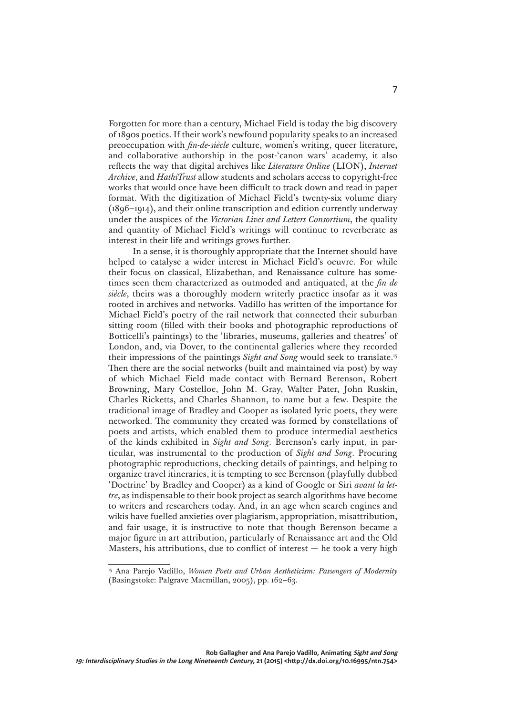Forgotten for more than a century, Michael Field is today the big discovery of 1890s poetics. If their work's newfound popularity speaks to an increased preoccupation with *fin-de-siècle* culture, women's writing, queer literature, and collaborative authorship in the post-'canon wars' academy, it also reflects the way that digital archives like *Literature Online* (LION), *Internet Archive*, and *HathiTrust* allow students and scholars access to copyright-free works that would once have been difficult to track down and read in paper format. With the digitization of Michael Field's twenty-six volume diary (1896–1914), and their online transcription and edition currently underway under the auspices of the *Victorian Lives and Letters Consortium*, the quality and quantity of Michael Field's writings will continue to reverberate as interest in their life and writings grows further.

In a sense, it is thoroughly appropriate that the Internet should have helped to catalyse a wider interest in Michael Field's oeuvre. For while their focus on classical, Elizabethan, and Renaissance culture has sometimes seen them characterized as outmoded and antiquated, at the *fin de siècle*, theirs was a thoroughly modern writerly practice insofar as it was rooted in archives and networks. Vadillo has written of the importance for Michael Field's poetry of the rail network that connected their suburban sitting room (filled with their books and photographic reproductions of Botticelli's paintings) to the 'libraries, museums, galleries and theatres' of London, and, via Dover, to the continental galleries where they recorded their impressions of the paintings *Sight and Song* would seek to translate.15 Then there are the social networks (built and maintained via post) by way of which Michael Field made contact with Bernard Berenson, Robert Browning, Mary Costelloe, John M. Gray, Walter Pater, John Ruskin, Charles Ricketts, and Charles Shannon, to name but a few. Despite the traditional image of Bradley and Cooper as isolated lyric poets, they were networked. The community they created was formed by constellations of poets and artists, which enabled them to produce intermedial aesthetics of the kinds exhibited in *Sight and Song*. Berenson's early input, in particular, was instrumental to the production of *Sight and Song*. Procuring photographic reproductions, checking details of paintings, and helping to organize travel itineraries, it is tempting to see Berenson (playfully dubbed 'Doctrine' by Bradley and Cooper) as a kind of Google or Siri *avant la lettre*, as indispensable to their book project as search algorithms have become to writers and researchers today. And, in an age when search engines and wikis have fuelled anxieties over plagiarism, appropriation, misattribution, and fair usage, it is instructive to note that though Berenson became a major figure in art attribution, particularly of Renaissance art and the Old Masters, his attributions, due to conflict of interest  $-$  he took a very high

<sup>15</sup> Ana Parejo Vadillo, *Women Poets and Urban Aestheticism: Passengers of Modernity*  (Basingstoke: Palgrave Macmillan, 2005), pp. 162–63.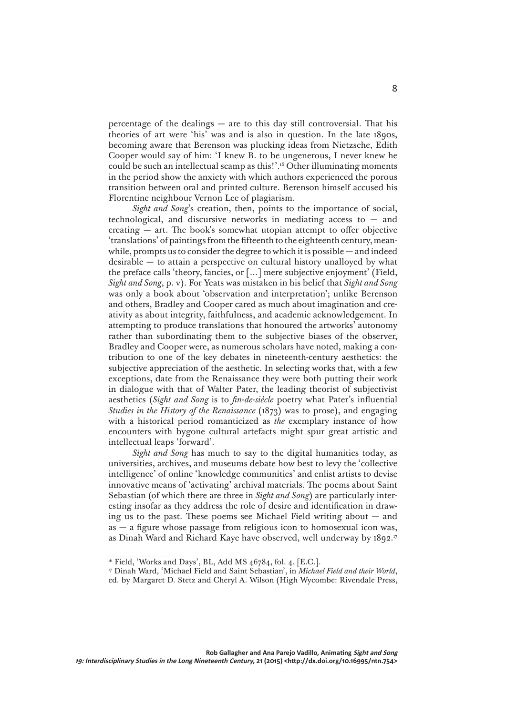percentage of the dealings — are to this day still controversial. That his theories of art were 'his' was and is also in question. In the late 1890s, becoming aware that Berenson was plucking ideas from Nietzsche, Edith Cooper would say of him: 'I knew B. to be ungenerous, I never knew he could be such an intellectual scamp as this!'.16 Other illuminating moments in the period show the anxiety with which authors experienced the porous transition between oral and printed culture. Berenson himself accused his Florentine neighbour Vernon Lee of plagiarism.

*Sight and Song*'s creation, then, points to the importance of social, technological, and discursive networks in mediating access to  $-$  and creating  $-$  art. The book's somewhat utopian attempt to offer objective 'translations' of paintings from the fifteenth to the eighteenth century, meanwhile, prompts us to consider the degree to which it is possible — and indeed desirable — to attain a perspective on cultural history unalloyed by what the preface calls 'theory, fancies, or […] mere subjective enjoyment' (Field, *Sight and Song*, p. v). For Yeats was mistaken in his belief that *Sight and Song*  was only a book about 'observation and interpretation'; unlike Berenson and others, Bradley and Cooper cared as much about imagination and creativity as about integrity, faithfulness, and academic acknowledgement. In attempting to produce translations that honoured the artworks' autonomy rather than subordinating them to the subjective biases of the observer, Bradley and Cooper were, as numerous scholars have noted, making a contribution to one of the key debates in nineteenth-century aesthetics: the subjective appreciation of the aesthetic. In selecting works that, with a few exceptions, date from the Renaissance they were both putting their work in dialogue with that of Walter Pater, the leading theorist of subjectivist aesthetics (*Sight and Song* is to *fin-de-siècle* poetry what Pater's influential *Studies in the History of the Renaissance* (1873) was to prose), and engaging with a historical period romanticized as *the* exemplary instance of how encounters with bygone cultural artefacts might spur great artistic and intellectual leaps 'forward'.

*Sight and Song* has much to say to the digital humanities today, as universities, archives, and museums debate how best to levy the 'collective intelligence' of online 'knowledge communities' and enlist artists to devise innovative means of 'activating' archival materials. The poems about Saint Sebastian (of which there are three in *Sight and Song*) are particularly interesting insofar as they address the role of desire and identification in drawing us to the past. These poems see Michael Field writing about  $-$  and as — a figure whose passage from religious icon to homosexual icon was, as Dinah Ward and Richard Kaye have observed, well underway by 1892.17

<sup>&</sup>lt;sup>16</sup> Field, 'Works and Days', BL, Add MS 46784, fol. 4. [E.C.].

<sup>17</sup> Dinah Ward, 'Michael Field and Saint Sebastian', in *Michael Field and their World*, ed. by Margaret D. Stetz and Cheryl A. Wilson (High Wycombe: Rivendale Press,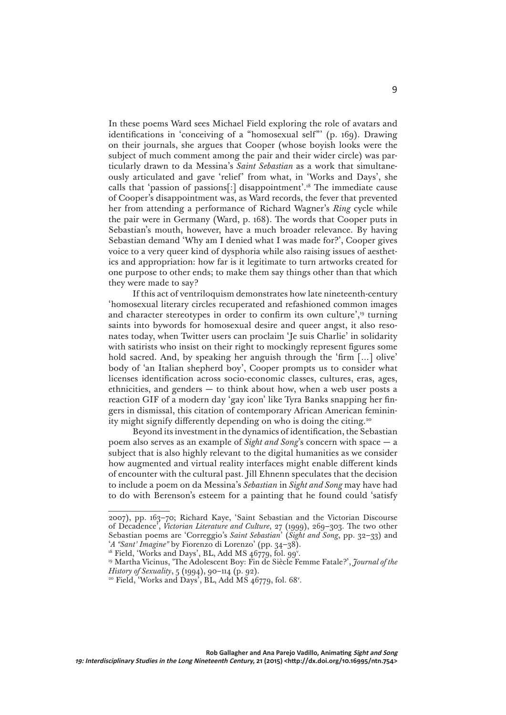In these poems Ward sees Michael Field exploring the role of avatars and identifications in 'conceiving of a "homosexual self"' (p. 169). Drawing on their journals, she argues that Cooper (whose boyish looks were the subject of much comment among the pair and their wider circle) was particularly drawn to da Messina's *Saint Sebastian* as a work that simultaneously articulated and gave 'relief' from what, in 'Works and Days', she calls that 'passion of passions[:] disappointment'.18 The immediate cause of Cooper's disappointment was, as Ward records, the fever that prevented her from attending a performance of Richard Wagner's *Ring* cycle while the pair were in Germany (Ward, p. 168). The words that Cooper puts in Sebastian's mouth, however, have a much broader relevance. By having Sebastian demand 'Why am I denied what I was made for?', Cooper gives voice to a very queer kind of dysphoria while also raising issues of aesthetics and appropriation: how far is it legitimate to turn artworks created for one purpose to other ends; to make them say things other than that which they were made to say?

If this act of ventriloquism demonstrates how late nineteenth-century 'homosexual literary circles recuperated and refashioned common images and character stereotypes in order to confirm its own culture',<sup>19</sup> turning saints into bywords for homosexual desire and queer angst, it also resonates today, when Twitter users can proclaim 'Je suis Charlie' in solidarity with satirists who insist on their right to mockingly represent figures some hold sacred. And, by speaking her anguish through the 'firm […] olive' body of 'an Italian shepherd boy', Cooper prompts us to consider what licenses identification across socio-economic classes, cultures, eras, ages, ethnicities, and genders — to think about how, when a web user posts a reaction GIF of a modern day 'gay icon' like Tyra Banks snapping her fingers in dismissal, this citation of contemporary African American femininity might signify differently depending on who is doing the citing.20

Beyond its investment in the dynamics of identification, the Sebastian poem also serves as an example of *Sight and Song*'s concern with space — a subject that is also highly relevant to the digital humanities as we consider how augmented and virtual reality interfaces might enable different kinds of encounter with the cultural past. Jill Ehnenn speculates that the decision to include a poem on da Messina's *Sebastian* in *Sight and Song* may have had to do with Berenson's esteem for a painting that he found could 'satisfy

<sup>2007),</sup> pp. 163–70; Richard Kaye, 'Saint Sebastian and the Victorian Discourse of Decadence', *Victorian Literature and Culture*, 27 (1999), 269–303. The two other Sebastian poems are 'Correggio's *Saint Sebastian*' (*Sight and Song*, pp. 32–33) and '*A "Sant' Imagine"* by Fiorenzo di Lorenzo' (pp. 34–38). 18 Field, 'Works and Days', BL, Add MS 46779, fol. 99v .

<sup>19</sup> Martha Vicinus, 'The Adolescent Boy: Fin de Siècle Femme Fatale?', *Journal of the History of Sexuality*, 5 (1994), 90–114 (p. 92).

<sup>&</sup>lt;sup>20</sup> Field, 'Works and Days', BL, Add MS 46779, fol. 68<sup>v</sup>.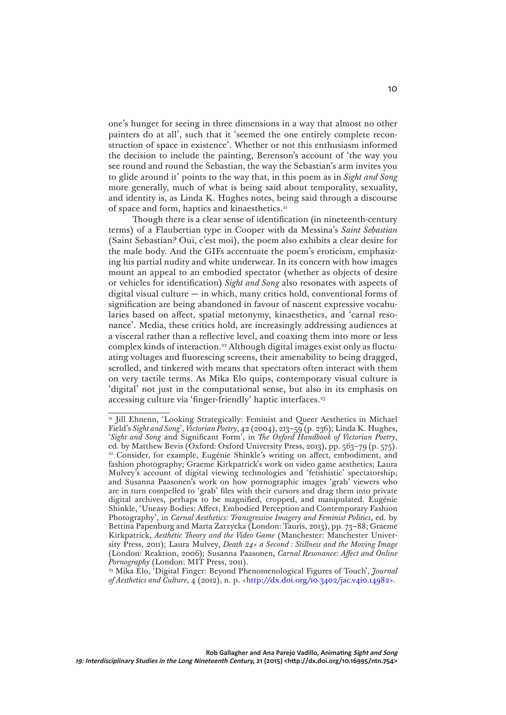one's hunger for seeing in three dimensions in a way that almost no other painters do at all', such that it 'seemed the one entirely complete reconstruction of space in existence'. Whether or not this enthusiasm informed the decision to include the painting, Berenson's account of 'the way you see round and round the Sebastian, the way the Sebastian's arm invites you to glide around it' points to the way that, in this poem as in *Sight and Song* more generally, much of what is being said about temporality, sexuality, and identity is, as Linda K. Hughes notes, being said through a discourse of space and form, haptics and kinaesthetics.<sup>21</sup>

Though there is a clear sense of identification (in nineteenth-century terms) of a Flaubertian type in Cooper with da Messina's *Saint Sebastian* (Saint Sebastian? Oui, c'est moi), the poem also exhibits a clear desire for the male body. And the GIFs accentuate the poem's eroticism, emphasizing his partial nudity and white underwear. In its concern with how images mount an appeal to an embodied spectator (whether as objects of desire or vehicles for identification) *Sight and Song* also resonates with aspects of digital visual culture — in which, many critics hold, conventional forms of signification are being abandoned in favour of nascent expressive vocabularies based on affect, spatial metonymy, kinaesthetics, and 'carnal resonance'. Media, these critics hold, are increasingly addressing audiences at a visceral rather than a reflective level, and coaxing them into more or less complex kinds of interaction.<sup>22</sup> Although digital images exist only as fluctuating voltages and fluorescing screens, their amenability to being dragged, scrolled, and tinkered with means that spectators often interact with them on very tactile terms. As Mika Elo quips, contemporary visual culture is 'digital' not just in the computational sense, but also in its emphasis on accessing culture via 'finger-friendly' haptic interfaces.<sup>23</sup>

<sup>23</sup> Mika Elo, 'Digital Finger: Beyond Phenomenological Figures of Touch', *Journal of Aesthetics and Culture*, 4 (2012), n. p. <<http://dx.doi.org/10.3402/jac.v4i0.14982>>.

<sup>&</sup>lt;sup>21</sup> Jill Ehnenn, 'Looking Strategically: Feminist and Queer Aesthetics in Michael Field's *Sight and Song*', *Victorian Poetry*, 42 (2004), 213–59 (p. 236); Linda K. Hughes, '*Sight and Song* and Significant Form', in *The Oxford Handbook of Victorian Poetry*, ed. by Matthew Bevis (Oxford: Oxford University Press, 2013), pp. 563–79 (p. 575). <sup>22</sup> Consider, for example, Eugénie Shinkle's writing on affect, embodiment, and fashion photography; Graeme Kirkpatrick's work on video game aesthetics; Laura Mulvey's account of digital viewing technologies and 'fetishistic' spectatorship; and Susanna Paasonen's work on how pornographic images 'grab' viewers who are in turn compelled to 'grab' files with their cursors and drag them into private digital archives, perhaps to be magnified, cropped, and manipulated. Eugénie Shinkle, 'Uneasy Bodies: Affect, Embodied Perception and Contemporary Fashion Photography', in *Carnal Aesthetics: Transgressive Imagery and Feminist Politics*, ed. by Bettina Papenburg and Marta Zarzycka (London: Tauris, 2013), pp. 73–88; Graeme Kirkpatrick, *Aesthetic Theory and the Video Game* (Manchester: Manchester University Press, 2011); Laura Mulvey, *Death 24× a Second : Stillness and the Moving Image* (London: Reaktion, 2006); Susanna Paasonen, *Carnal Resonance: Affect and Online Pornography* (London: MIT Press, 2011).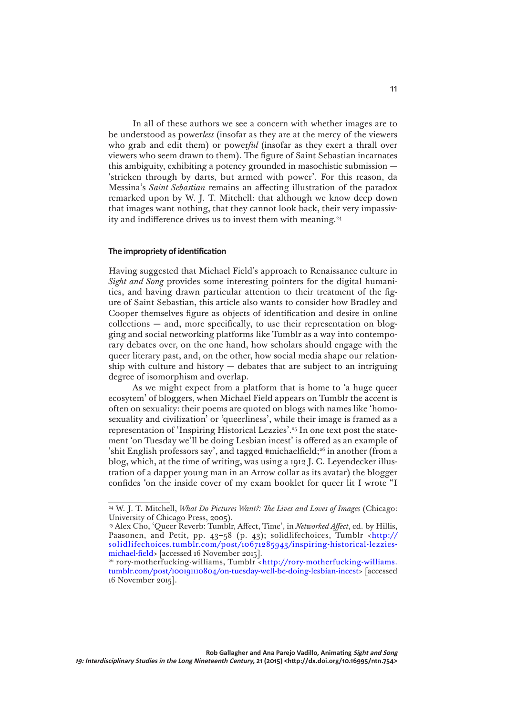In all of these authors we see a concern with whether images are to be understood as power*less* (insofar as they are at the mercy of the viewers who grab and edit them) or power*ful* (insofar as they exert a thrall over viewers who seem drawn to them). The figure of Saint Sebastian incarnates this ambiguity, exhibiting a potency grounded in masochistic submission — 'stricken through by darts, but armed with power'. For this reason, da Messina's *Saint Sebastian* remains an affecting illustration of the paradox remarked upon by W. J. T. Mitchell: that although we know deep down that images want nothing, that they cannot look back, their very impassivity and indifference drives us to invest them with meaning.24

# **The impropriety of identification**

Having suggested that Michael Field's approach to Renaissance culture in *Sight and Song* provides some interesting pointers for the digital humanities, and having drawn particular attention to their treatment of the figure of Saint Sebastian, this article also wants to consider how Bradley and Cooper themselves figure as objects of identification and desire in online  $\text{collections}$  — and, more specifically, to use their representation on blogging and social networking platforms like Tumblr as a way into contemporary debates over, on the one hand, how scholars should engage with the queer literary past, and, on the other, how social media shape our relationship with culture and history  $-$  debates that are subject to an intriguing degree of isomorphism and overlap.

As we might expect from a platform that is home to 'a huge queer ecosytem' of bloggers, when Michael Field appears on Tumblr the accent is often on sexuality: their poems are quoted on blogs with names like 'homosexuality and civilization' or 'queerliness', while their image is framed as a representation of 'Inspiring Historical Lezzies'.25 In one text post the statement 'on Tuesday we'll be doing Lesbian incest' is offered as an example of 'shit English professors say', and tagged #michaelfield;26 in another (from a blog, which, at the time of writing, was using a 1912 J. C. Leyendecker illustration of a dapper young man in an Arrow collar as its avatar) the blogger confides 'on the inside cover of my exam booklet for queer lit I wrote "I

<sup>24</sup> W. J. T. Mitchell, *What Do Pictures Want?: The Lives and Loves of Images* (Chicago: University of Chicago Press, 2005).

<sup>25</sup> Alex Cho, 'Queer Reverb: Tumblr, Affect, Time', in *Networked Affect*, ed. by Hillis, Paasonen, and Petit, pp. 43-58 (p. 43); solidlifechoices, Tumblr <[http://](http://solidlifechoices.tumblr.com/post/10671285943/inspiring-historical-lezzies-michael-field) [solidlifechoices.tumblr.com/post/10671285943/inspiring-historical-lezzies](http://solidlifechoices.tumblr.com/post/10671285943/inspiring-historical-lezzies-michael-field)[michael-field>](http://solidlifechoices.tumblr.com/post/10671285943/inspiring-historical-lezzies-michael-field) [accessed 16 November 2015].

<sup>&</sup>lt;sup>26</sup> rory-motherfucking-williams, Tumblr <[http://rory-motherfucking-williams.](http://rory-motherfucking-williams.tumblr.com/post/100191110804/on-tuesday-well-be-doing-lesbian-incest) [tumblr.com/post/100191110804/on-tuesday-well-be-doing-lesbian-incest](http://rory-motherfucking-williams.tumblr.com/post/100191110804/on-tuesday-well-be-doing-lesbian-incest)> [accessed 16 November 2015].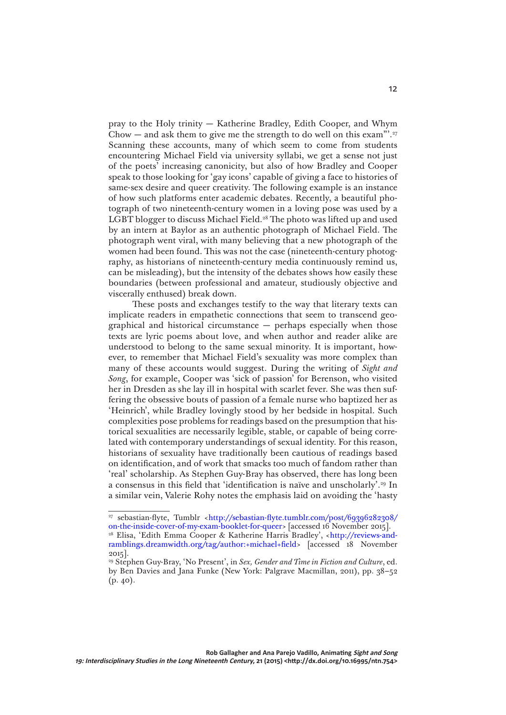pray to the Holy trinity — Katherine Bradley, Edith Cooper, and Whym Chow — and ask them to give me the strength to do well on this exam"'.<sup>27</sup> Scanning these accounts, many of which seem to come from students encountering Michael Field via university syllabi, we get a sense not just of the poets' increasing canonicity, but also of how Bradley and Cooper speak to those looking for 'gay icons' capable of giving a face to histories of same-sex desire and queer creativity. The following example is an instance of how such platforms enter academic debates. Recently, a beautiful photograph of two nineteenth-century women in a loving pose was used by a LGBT blogger to discuss Michael Field.<sup>28</sup> The photo was lifted up and used by an intern at Baylor as an authentic photograph of Michael Field. The photograph went viral, with many believing that a new photograph of the women had been found. This was not the case (nineteenth-century photography, as historians of nineteenth-century media continuously remind us, can be misleading), but the intensity of the debates shows how easily these boundaries (between professional and amateur, studiously objective and viscerally enthused) break down.

These posts and exchanges testify to the way that literary texts can implicate readers in empathetic connections that seem to transcend geographical and historical circumstance — perhaps especially when those texts are lyric poems about love, and when author and reader alike are understood to belong to the same sexual minority. It is important, however, to remember that Michael Field's sexuality was more complex than many of these accounts would suggest. During the writing of *Sight and Song*, for example, Cooper was 'sick of passion' for Berenson, who visited her in Dresden as she lay ill in hospital with scarlet fever. She was then suffering the obsessive bouts of passion of a female nurse who baptized her as 'Heinrich', while Bradley lovingly stood by her bedside in hospital. Such complexities pose problems for readings based on the presumption that historical sexualities are necessarily legible, stable, or capable of being correlated with contemporary understandings of sexual identity. For this reason, historians of sexuality have traditionally been cautious of readings based on identification, and of work that smacks too much of fandom rather than 'real' scholarship. As Stephen Guy-Bray has observed, there has long been a consensus in this field that 'identification is naïve and unscholarly'.<sup>29</sup> In a similar vein, Valerie Rohy notes the emphasis laid on avoiding the 'hasty

<sup>&</sup>lt;sup>27</sup> sebastian-flyte, Tumblr [<http://sebastian-flyte.tumblr.com/post/69396282308/](http://sebastian-flyte.tumblr.com/post/69396282308/on-the-inside-cover-of-my-exam-booklet-for-queer)<br>on-the-inside-cover-of-my-exam-booklet-for-queer> [accessed 16 November 2015]. <sup>[28](http://sebastian-flyte.tumblr.com/post/69396282308/on-the-inside-cover-of-my-exam-booklet-for-queer)</sup> Elisa, 'Edith Emma Cooper & Katherine Harris Bradley', [<http://reviews-and](http://reviews-and-ramblings.dreamwidth.org/tag/author:+michael+field)[ramblings.dreamwidth.org/tag/author:+michael+field>](http://reviews-and-ramblings.dreamwidth.org/tag/author:+michael+field) [accessed 18 November 2015].

<sup>29</sup> Stephen Guy-Bray, 'No Present', in *Sex, Gender and Time in Fiction and Culture*, ed. by Ben Davies and Jana Funke (New York: Palgrave Macmillan, 2011), pp. 38–52 (p. 40).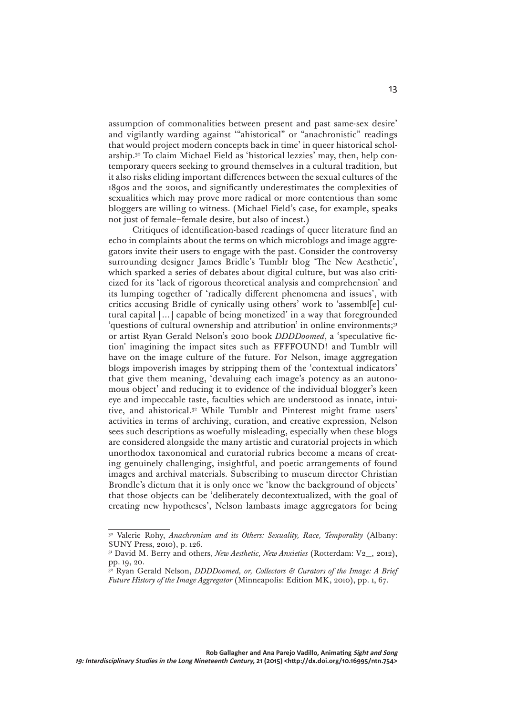assumption of commonalities between present and past same-sex desire' and vigilantly warding against '"ahistorical" or "anachronistic" readings that would project modern concepts back in time' in queer historical scholarship.30 To claim Michael Field as 'historical lezzies' may, then, help contemporary queers seeking to ground themselves in a cultural tradition, but it also risks eliding important differences between the sexual cultures of the 1890s and the 2010s, and significantly underestimates the complexities of sexualities which may prove more radical or more contentious than some bloggers are willing to witness. (Michael Field's case, for example, speaks not just of female–female desire, but also of incest.)

Critiques of identification-based readings of queer literature find an echo in complaints about the terms on which microblogs and image aggregators invite their users to engage with the past. Consider the controversy surrounding designer James Bridle's Tumblr blog 'The New Aesthetic', which sparked a series of debates about digital culture, but was also criticized for its 'lack of rigorous theoretical analysis and comprehension' and its lumping together of 'radically different phenomena and issues', with critics accusing Bridle of cynically using others' work to 'assembl[e] cultural capital […] capable of being monetized' in a way that foregrounded 'questions of cultural ownership and attribution' in online environments;<sup>31</sup> or artist Ryan Gerald Nelson's 2010 book *DDDDoomed*, a 'speculative fiction' imagining the impact sites such as FFFFOUND! and Tumblr will have on the image culture of the future. For Nelson, image aggregation blogs impoverish images by stripping them of the 'contextual indicators' that give them meaning, 'devaluing each image's potency as an autonomous object' and reducing it to evidence of the individual blogger's keen eye and impeccable taste, faculties which are understood as innate, intuitive, and ahistorical.32 While Tumblr and Pinterest might frame users' activities in terms of archiving, curation, and creative expression, Nelson sees such descriptions as woefully misleading, especially when these blogs are considered alongside the many artistic and curatorial projects in which unorthodox taxonomical and curatorial rubrics become a means of creating genuinely challenging, insightful, and poetic arrangements of found images and archival materials. Subscribing to museum director Christian Brondle's dictum that it is only once we 'know the background of objects' that those objects can be 'deliberately decontextualized, with the goal of creating new hypotheses', Nelson lambasts image aggregators for being

<sup>30</sup> Valerie Rohy, *Anachronism and its Others: Sexuality, Race, Temporality* (Albany: SUNY Press, 2010), p. 126.

<sup>&</sup>lt;sup>31</sup> David M. Berry and others, *New Aesthetic, New Anxieties* (Rotterdam: V2<sub>, 2012</sub>), pp. 19, 20.

<sup>&</sup>lt;sup>32</sup> Ryan Gerald Nelson, *DDDDoomed, or, Collectors & Curators of the Image: A Brief Future History of the Image Aggregator* (Minneapolis: Edition MK, 2010), pp. 1, 67.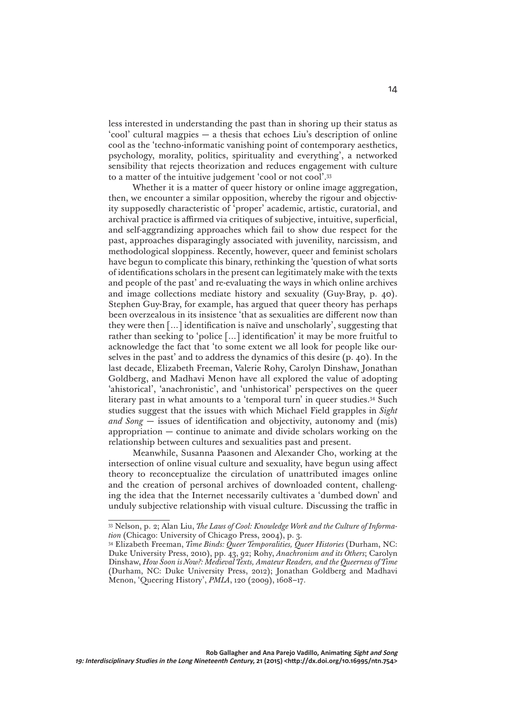less interested in understanding the past than in shoring up their status as 'cool' cultural magpies — a thesis that echoes Liu's description of online cool as the 'techno-informatic vanishing point of contemporary aesthetics, psychology, morality, politics, spirituality and everything', a networked sensibility that rejects theorization and reduces engagement with culture to a matter of the intuitive judgement 'cool or not cool'.33

Whether it is a matter of queer history or online image aggregation, then, we encounter a similar opposition, whereby the rigour and objectivity supposedly characteristic of 'proper' academic, artistic, curatorial, and archival practice is affirmed via critiques of subjective, intuitive, superficial, and self-aggrandizing approaches which fail to show due respect for the past, approaches disparagingly associated with juvenility, narcissism, and methodological sloppiness. Recently, however, queer and feminist scholars have begun to complicate this binary, rethinking the 'question of what sorts of identifications scholars in the present can legitimately make with the texts and people of the past' and re-evaluating the ways in which online archives and image collections mediate history and sexuality (Guy-Bray, p. 40). Stephen Guy-Bray, for example, has argued that queer theory has perhaps been overzealous in its insistence 'that as sexualities are different now than they were then […] identification is naïve and unscholarly', suggesting that rather than seeking to 'police […] identification' it may be more fruitful to acknowledge the fact that 'to some extent we all look for people like ourselves in the past' and to address the dynamics of this desire (p. 40). In the last decade, Elizabeth Freeman, Valerie Rohy, Carolyn Dinshaw, Jonathan Goldberg, and Madhavi Menon have all explored the value of adopting 'ahistorical', 'anachronistic', and 'unhistorical' perspectives on the queer literary past in what amounts to a 'temporal turn' in queer studies.<sup>34</sup> Such studies suggest that the issues with which Michael Field grapples in *Sight and Song* — issues of identification and objectivity, autonomy and (mis) appropriation — continue to animate and divide scholars working on the relationship between cultures and sexualities past and present.

Meanwhile, Susanna Paasonen and Alexander Cho, working at the intersection of online visual culture and sexuality, have begun using affect theory to reconceptualize the circulation of unattributed images online and the creation of personal archives of downloaded content, challenging the idea that the Internet necessarily cultivates a 'dumbed down' and unduly subjective relationship with visual culture. Discussing the traffic in

<sup>33</sup> Nelson, p. 2; Alan Liu, *The Laws of Cool: Knowledge Work and the Culture of Information* (Chicago: University of Chicago Press, 2004), p. 3.

<sup>34</sup> Elizabeth Freeman, *Time Binds: Queer Temporalities, Queer Histories* (Durham, NC: Duke University Press, 2010), pp. 43, 92; Rohy, *Anachronism and its Others*; Carolyn Dinshaw, *How Soon is Now?: Medieval Texts, Amateur Readers, and the Queerness of Time*  (Durham, NC: Duke University Press, 2012); Jonathan Goldberg and Madhavi Menon, 'Queering History', *PMLA*, 120 (2009), 1608–17.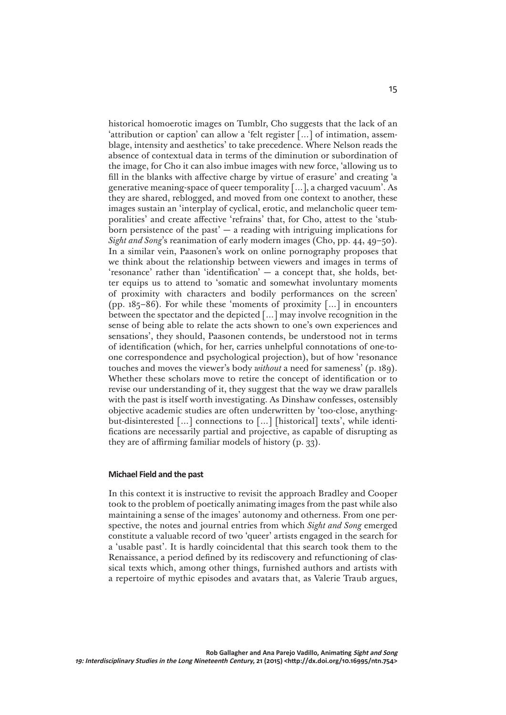historical homoerotic images on Tumblr, Cho suggests that the lack of an 'attribution or caption' can allow a 'felt register […] of intimation, assemblage, intensity and aesthetics' to take precedence. Where Nelson reads the absence of contextual data in terms of the diminution or subordination of the image, for Cho it can also imbue images with new force, 'allowing us to fill in the blanks with affective charge by virtue of erasure' and creating 'a generative meaning-space of queer temporality  $[\,\dots]$ , a charged vacuum'. As they are shared, reblogged, and moved from one context to another, these images sustain an 'interplay of cyclical, erotic, and melancholic queer temporalities' and create affective 'refrains' that, for Cho, attest to the 'stubborn persistence of the past'  $-$  a reading with intriguing implications for *Sight and Song*'s reanimation of early modern images (Cho, pp. 44, 49–50). In a similar vein, Paasonen's work on online pornography proposes that we think about the relationship between viewers and images in terms of 'resonance' rather than 'identification' — a concept that, she holds, better equips us to attend to 'somatic and somewhat involuntary moments of proximity with characters and bodily performances on the screen' (pp. 185–86). For while these 'moments of proximity […] in encounters between the spectator and the depicted […] may involve recognition in the sense of being able to relate the acts shown to one's own experiences and sensations', they should, Paasonen contends, be understood not in terms of identification (which, for her, carries unhelpful connotations of one-toone correspondence and psychological projection), but of how 'resonance touches and moves the viewer's body *without* a need for sameness' (p. 189). Whether these scholars move to retire the concept of identification or to revise our understanding of it, they suggest that the way we draw parallels with the past is itself worth investigating. As Dinshaw confesses, ostensibly objective academic studies are often underwritten by 'too-close, anythingbut-disinterested […] connections to […] [historical] texts', while identifications are necessarily partial and projective, as capable of disrupting as they are of affirming familiar models of history (p. 33).

#### **Michael Field and the past**

In this context it is instructive to revisit the approach Bradley and Cooper took to the problem of poetically animating images from the past while also maintaining a sense of the images' autonomy and otherness. From one perspective, the notes and journal entries from which *Sight and Song* emerged constitute a valuable record of two 'queer' artists engaged in the search for a 'usable past'. It is hardly coincidental that this search took them to the Renaissance, a period defined by its rediscovery and refunctioning of classical texts which, among other things, furnished authors and artists with a repertoire of mythic episodes and avatars that, as Valerie Traub argues,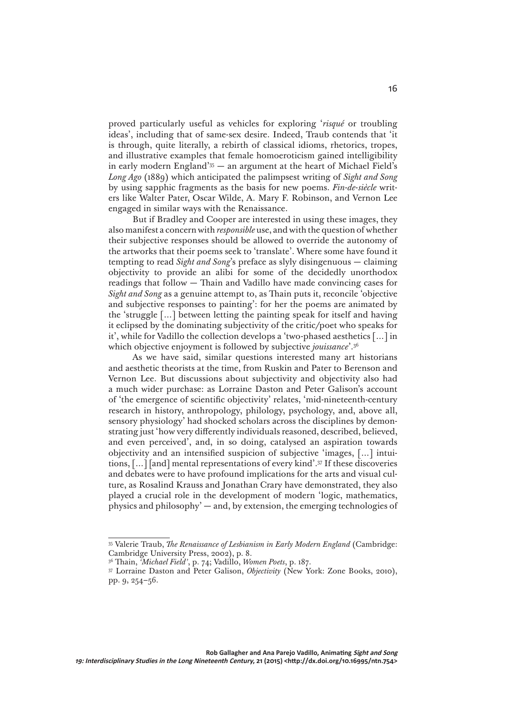proved particularly useful as vehicles for exploring '*risqué* or troubling ideas', including that of same-sex desire. Indeed, Traub contends that 'it is through, quite literally, a rebirth of classical idioms, rhetorics, tropes, and illustrative examples that female homoeroticism gained intelligibility in early modern England'35 — an argument at the heart of Michael Field's *Long Ago* (1889) which anticipated the palimpsest writing of *Sight and Song* by using sapphic fragments as the basis for new poems. *Fin-de-siècle* writers like Walter Pater, Oscar Wilde, A. Mary F. Robinson, and Vernon Lee engaged in similar ways with the Renaissance.

But if Bradley and Cooper are interested in using these images, they also manifest a concern with *responsible* use, and with the question of whether their subjective responses should be allowed to override the autonomy of the artworks that their poems seek to 'translate'. Where some have found it tempting to read *Sight and Song*'s preface as slyly disingenuous — claiming objectivity to provide an alibi for some of the decidedly unorthodox readings that follow — Thain and Vadillo have made convincing cases for *Sight and Song* as a genuine attempt to, as Thain puts it, reconcile 'objective and subjective responses to painting': for her the poems are animated by the 'struggle […] between letting the painting speak for itself and having it eclipsed by the dominating subjectivity of the critic/poet who speaks for it', while for Vadillo the collection develops a 'two-phased aesthetics […] in which objective enjoyment is followed by subjective *jouissance*'.36

As we have said, similar questions interested many art historians and aesthetic theorists at the time, from Ruskin and Pater to Berenson and Vernon Lee. But discussions about subjectivity and objectivity also had a much wider purchase: as Lorraine Daston and Peter Galison's account of 'the emergence of scientific objectivity' relates, 'mid-nineteenth-century research in history, anthropology, philology, psychology, and, above all, sensory physiology' had shocked scholars across the disciplines by demonstrating just 'how very differently individuals reasoned, described, believed, and even perceived', and, in so doing, catalysed an aspiration towards objectivity and an intensified suspicion of subjective 'images, […] intuitions, […] [and] mental representations of every kind'.37 If these discoveries and debates were to have profound implications for the arts and visual culture, as Rosalind Krauss and Jonathan Crary have demonstrated, they also played a crucial role in the development of modern 'logic, mathematics, physics and philosophy' — and, by extension, the emerging technologies of

<sup>35</sup> Valerie Traub, *The Renaissance of Lesbianism in Early Modern England* (Cambridge: Cambridge University Press, 2002), p. 8.

<sup>36</sup> Thain, *'Michael Field'*, p. 74; Vadillo, *Women Poets*, p. 187.

<sup>37</sup> Lorraine Daston and Peter Galison, *Objectivity* (New York: Zone Books, 2010), pp. 9, 254–56.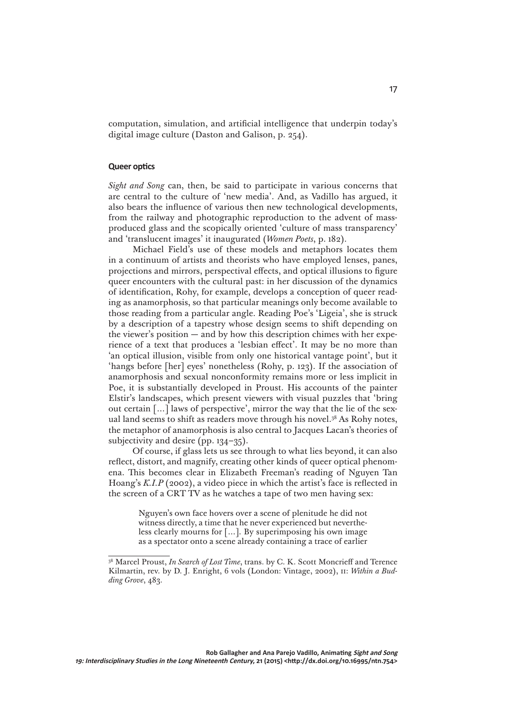computation, simulation, and artificial intelligence that underpin today's digital image culture (Daston and Galison, p. 254).

#### **Queer optics**

*Sight and Song* can, then, be said to participate in various concerns that are central to the culture of 'new media'. And, as Vadillo has argued, it also bears the influence of various then new technological developments, from the railway and photographic reproduction to the advent of massproduced glass and the scopically oriented 'culture of mass transparency' and 'translucent images' it inaugurated (*Women Poets*, p. 182).

Michael Field's use of these models and metaphors locates them in a continuum of artists and theorists who have employed lenses, panes, projections and mirrors, perspectival effects, and optical illusions to figure queer encounters with the cultural past: in her discussion of the dynamics of identification, Rohy, for example, develops a conception of queer reading as anamorphosis, so that particular meanings only become available to those reading from a particular angle. Reading Poe's 'Ligeia', she is struck by a description of a tapestry whose design seems to shift depending on the viewer's position  $-$  and by how this description chimes with her experience of a text that produces a 'lesbian effect'. It may be no more than 'an optical illusion, visible from only one historical vantage point', but it 'hangs before [her] eyes' nonetheless (Rohy, p. 123). If the association of anamorphosis and sexual nonconformity remains more or less implicit in Poe, it is substantially developed in Proust. His accounts of the painter Elstir's landscapes, which present viewers with visual puzzles that 'bring out certain […] laws of perspective', mirror the way that the lie of the sexual land seems to shift as readers move through his novel.<sup>38</sup> As Rohy notes, the metaphor of anamorphosis is also central to Jacques Lacan's theories of subjectivity and desire (pp. 134–35).

Of course, if glass lets us see through to what lies beyond, it can also reflect, distort, and magnify, creating other kinds of queer optical phenomena. This becomes clear in Elizabeth Freeman's reading of Nguyen Tan Hoang's *K.I.P* (2002), a video piece in which the artist's face is reflected in the screen of a CRT TV as he watches a tape of two men having sex:

> Nguyen's own face hovers over a scene of plenitude he did not witness directly, a time that he never experienced but nevertheless clearly mourns for […]. By superimposing his own image as a spectator onto a scene already containing a trace of earlier

<sup>38</sup> Marcel Proust, *In Search of Lost Time*, trans. by C. K. Scott Moncrieff and Terence Kilmartin, rev. by D. J. Enright, 6 vols (London: Vintage, 2002), ii: *Within a Budding Grove*, 483.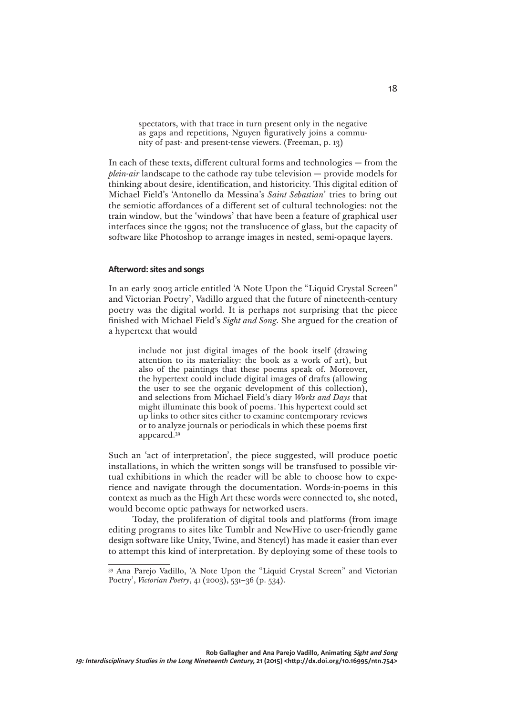spectators, with that trace in turn present only in the negative as gaps and repetitions, Nguyen figuratively joins a community of past- and present-tense viewers. (Freeman, p. 13)

In each of these texts, different cultural forms and technologies — from the *plein-air* landscape to the cathode ray tube television — provide models for thinking about desire, identification, and historicity. This digital edition of Michael Field's 'Antonello da Messina's *Saint Sebastian*' tries to bring out the semiotic affordances of a different set of cultural technologies: not the train window, but the 'windows' that have been a feature of graphical user interfaces since the 1990s; not the translucence of glass, but the capacity of software like Photoshop to arrange images in nested, semi-opaque layers.

## **Afterword: sites and songs**

In an early 2003 article entitled 'A Note Upon the "Liquid Crystal Screen" and Victorian Poetry', Vadillo argued that the future of nineteenth-century poetry was the digital world. It is perhaps not surprising that the piece finished with Michael Field's *Sight and Song*. She argued for the creation of a hypertext that would

> include not just digital images of the book itself (drawing attention to its materiality: the book as a work of art), but also of the paintings that these poems speak of. Moreover, the hypertext could include digital images of drafts (allowing the user to see the organic development of this collection), and selections from Michael Field's diary *Works and Days* that might illuminate this book of poems. This hypertext could set up links to other sites either to examine contemporary reviews or to analyze journals or periodicals in which these poems first appeared.39

Such an 'act of interpretation', the piece suggested, will produce poetic installations, in which the written songs will be transfused to possible virtual exhibitions in which the reader will be able to choose how to experience and navigate through the documentation. Words-in-poems in this context as much as the High Art these words were connected to, she noted, would become optic pathways for networked users.

Today, the proliferation of digital tools and platforms (from image editing programs to sites like Tumblr and NewHive to user-friendly game design software like Unity, Twine, and Stencyl) has made it easier than ever to attempt this kind of interpretation. By deploying some of these tools to

<sup>39</sup> Ana Parejo Vadillo, 'A Note Upon the "Liquid Crystal Screen" and Victorian Poetry', *Victorian Poetry*, 41 (2003), 531–36 (p. 534).